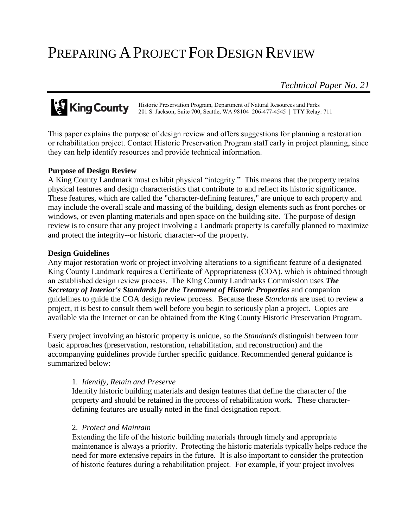# PREPARING A PROJECT FOR DESIGN REVIEW

*Technical Paper No. 21*

# **King County**

Historic Preservation Program, Department of Natural Resources and Parks 201 S. Jackson, Suite 700, Seattle, WA 98104 206-477-4545 | TTY Relay: 711

This paper explains the purpose of design review and offers suggestions for planning a restoration or rehabilitation project. Contact Historic Preservation Program staff early in project planning, since they can help identify resources and provide technical information.

## **Purpose of Design Review**

A King County Landmark must exhibit physical "integrity." This means that the property retains physical features and design characteristics that contribute to and reflect its historic significance. These features, which are called the "character-defining features," are unique to each property and may include the overall scale and massing of the building, design elements such as front porches or windows, or even planting materials and open space on the building site. The purpose of design review is to ensure that any project involving a Landmark property is carefully planned to maximize and protect the integrity--or historic character--of the property.

#### **Design Guidelines**

Any major restoration work or project involving alterations to a significant feature of a designated King County Landmark requires a Certificate of Appropriateness (COA), which is obtained through an established design review process. The King County Landmarks Commission uses *The Secretary of Interior's Standards for the Treatment of Historic Properties* and companion guidelines to guide the COA design review process. Because these *Standards* are used to review a project, it is best to consult them well before you begin to seriously plan a project. Copies are available via the Internet or can be obtained from the King County Historic Preservation Program.

Every project involving an historic property is unique, so the *Standards* distinguish between four basic approaches (preservation, restoration, rehabilitation, and reconstruction) and the accompanying guidelines provide further specific guidance. Recommended general guidance is summarized below:

## 1. *Identify, Retain and Preserve*

Identify historic building materials and design features that define the character of the property and should be retained in the process of rehabilitation work. These characterdefining features are usually noted in the final designation report.

## 2. *Protect and Maintain*

Extending the life of the historic building materials through timely and appropriate maintenance is always a priority. Protecting the historic materials typically helps reduce the need for more extensive repairs in the future. It is also important to consider the protection of historic features during a rehabilitation project. For example, if your project involves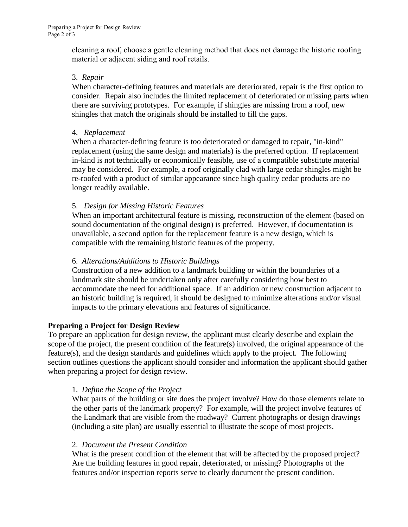cleaning a roof, choose a gentle cleaning method that does not damage the historic roofing material or adjacent siding and roof retails.

#### 3. *Repair*

When character-defining features and materials are deteriorated, repair is the first option to consider. Repair also includes the limited replacement of deteriorated or missing parts when there are surviving prototypes. For example, if shingles are missing from a roof, new shingles that match the originals should be installed to fill the gaps.

## 4. *Replacement*

When a character-defining feature is too deteriorated or damaged to repair, "in-kind" replacement (using the same design and materials) is the preferred option. If replacement in-kind is not technically or economically feasible, use of a compatible substitute material may be considered. For example, a roof originally clad with large cedar shingles might be re-roofed with a product of similar appearance since high quality cedar products are no longer readily available.

# 5. *Design for Missing Historic Features*

When an important architectural feature is missing, reconstruction of the element (based on sound documentation of the original design) is preferred. However, if documentation is unavailable, a second option for the replacement feature is a new design, which is compatible with the remaining historic features of the property.

# 6. *Alterations/Additions to Historic Buildings*

Construction of a new addition to a landmark building or within the boundaries of a landmark site should be undertaken only after carefully considering how best to accommodate the need for additional space. If an addition or new construction adjacent to an historic building is required, it should be designed to minimize alterations and/or visual impacts to the primary elevations and features of significance.

## **Preparing a Project for Design Review**

To prepare an application for design review, the applicant must clearly describe and explain the scope of the project, the present condition of the feature(s) involved, the original appearance of the feature(s), and the design standards and guidelines which apply to the project. The following section outlines questions the applicant should consider and information the applicant should gather when preparing a project for design review.

## 1. *Define the Scope of the Project*

What parts of the building or site does the project involve? How do those elements relate to the other parts of the landmark property? For example, will the project involve features of the Landmark that are visible from the roadway? Current photographs or design drawings (including a site plan) are usually essential to illustrate the scope of most projects.

## 2. *Document the Present Condition*

What is the present condition of the element that will be affected by the proposed project? Are the building features in good repair, deteriorated, or missing? Photographs of the features and/or inspection reports serve to clearly document the present condition.